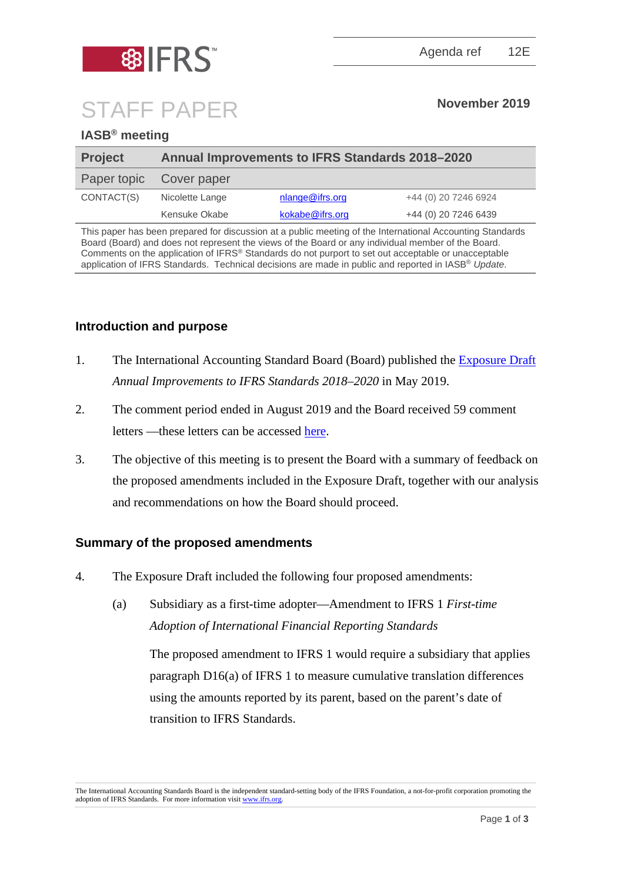



# STAFF PAPER **November <sup>2019</sup>**

## **IASB® meeting**

| <b>Project</b> | <b>Annual Improvements to IFRS Standards 2018-2020</b> |                 |                      |
|----------------|--------------------------------------------------------|-----------------|----------------------|
| Paper topic    | Cover paper                                            |                 |                      |
| CONTACT(S)     | Nicolette Lange                                        | nlange@ifrs.org | +44 (0) 20 7246 6924 |
|                | Kensuke Okabe                                          | kokabe@ifrs.org | +44 (0) 20 7246 6439 |

This paper has been prepared for discussion at a public meeting of the International Accounting Standards Board (Board) and does not represent the views of the Board or any individual member of the Board. Comments on the application of IFRS® Standards do not purport to set out acceptable or unacceptable application of IFRS Standards. Technical decisions are made in public and reported in IASB® *Update*.

## **Introduction and purpose**

- 1. The International Accounting Standard Board (Board) published the [Exposure Draft](https://www.ifrs.org/-/media/project/annual-improvements-2018-2020/ed-annual-improvements-2018-2020.pdf) *Annual Improvements to IFRS Standards 2018–2020* in May 2019.
- 2. The comment period ended in August 2019 and the Board received 59 comment letters —these letters can be accessed [here.](https://www.ifrs.org/projects/work-plan/fees-in-the-10-per-cent-test-for-derecognition/comment-letters-projects/ed-annual-improvements/#comment-letters)
- 3. The objective of this meeting is to present the Board with a summary of feedback on the proposed amendments included in the Exposure Draft, together with our analysis and recommendations on how the Board should proceed.

#### **Summary of the proposed amendments**

- 4. The Exposure Draft included the following four proposed amendments:
	- (a) Subsidiary as a first-time adopter—Amendment to IFRS 1 *First-time Adoption of International Financial Reporting Standards*

The proposed amendment to IFRS 1 would require a subsidiary that applies paragraph D16(a) of IFRS 1 to measure cumulative translation differences using the amounts reported by its parent, based on the parent's date of transition to IFRS Standards.

The International Accounting Standards Board is the independent standard-setting body of the IFRS Foundation, a not-for-profit corporation promoting the adoption of IFRS Standards. For more information visit [www.ifrs.org.](http://www.ifrs.org/)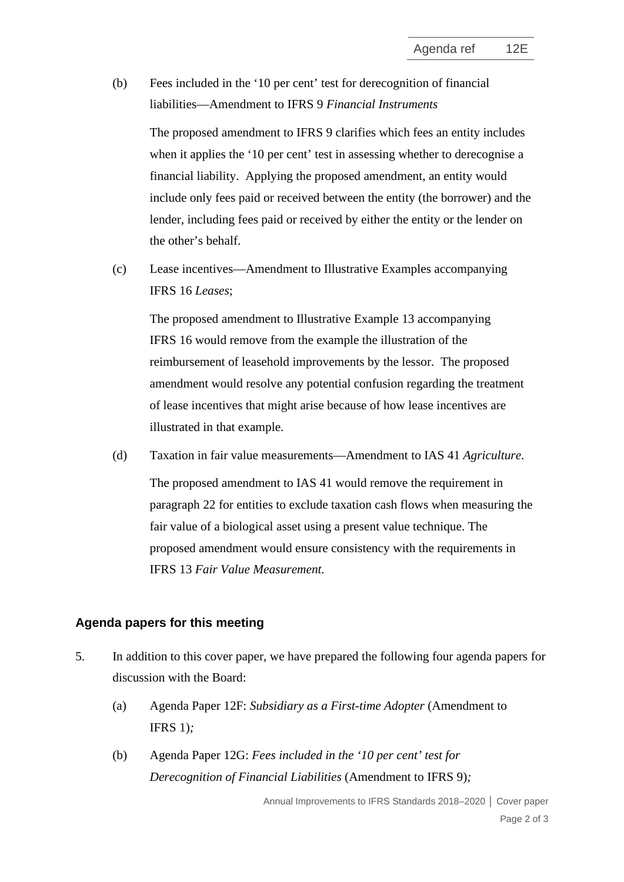(b) Fees included in the '10 per cent' test for derecognition of financial liabilities—Amendment to IFRS 9 *Financial Instruments*

The proposed amendment to IFRS 9 clarifies which fees an entity includes when it applies the '10 per cent' test in assessing whether to derecognise a financial liability. Applying the proposed amendment, an entity would include only fees paid or received between the entity (the borrower) and the lender, including fees paid or received by either the entity or the lender on the other's behalf.

(c) Lease incentives—Amendment to Illustrative Examples accompanying IFRS 16 *Leases*;

The proposed amendment to Illustrative Example 13 accompanying IFRS 16 would remove from the example the illustration of the reimbursement of leasehold improvements by the lessor. The proposed amendment would resolve any potential confusion regarding the treatment of lease incentives that might arise because of how lease incentives are illustrated in that example.

(d) Taxation in fair value measurements—Amendment to IAS 41 *Agriculture*. The proposed amendment to IAS 41 would remove the requirement in paragraph 22 for entities to exclude taxation cash flows when measuring the fair value of a biological asset using a present value technique. The proposed amendment would ensure consistency with the requirements in IFRS 13 *Fair Value Measurement.*

#### **Agenda papers for this meeting**

- 5. In addition to this cover paper, we have prepared the following four agenda papers for discussion with the Board:
	- (a) Agenda Paper 12F: *Subsidiary as a First-time Adopter* (Amendment to IFRS 1)*;*
	- (b) Agenda Paper 12G: *Fees included in the '10 per cent' test for Derecognition of Financial Liabilities* (Amendment to IFRS 9)*;*

Annual Improvements to IFRS Standards 2018–2020 **│** Cover paper